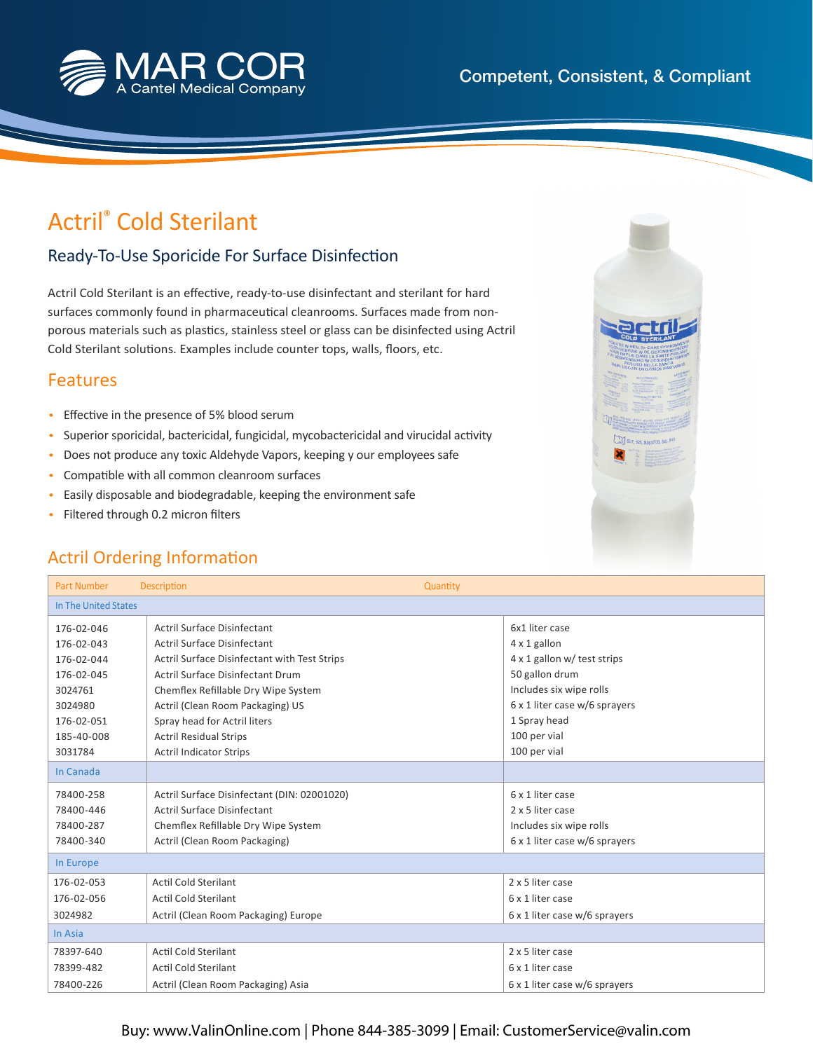

# Actril® Cold Sterilant

### Ready-To-Use Sporicide For Surface Disinfection

Actril Cold Sterilant is an effective, ready-to-use disinfectant and sterilant for hard surfaces commonly found in pharmaceutical cleanrooms. Surfaces made from nonporous materials such as plastics, stainless steel or glass can be disinfected using Actril Cold Sterilant solutions. Examples include counter tops, walls, floors, etc.

#### Features

- Effective in the presence of 5% blood serum
- Superior sporicidal, bactericidal, fungicidal, mycobactericidal and virucidal activity
- Does not produce any toxic Aldehyde Vapors, keeping y our employees safe
- Compatible with all common cleanroom surfaces
- Easily disposable and biodegradable, keeping the environment safe
- Filtered through 0.2 micron filters

## Actril Ordering Information

| <b>Part Number</b>   | <b>Description</b>                           | Quantity                      |
|----------------------|----------------------------------------------|-------------------------------|
| In The United States |                                              |                               |
| 176-02-046           | <b>Actril Surface Disinfectant</b>           | 6x1 liter case                |
| 176-02-043           | <b>Actril Surface Disinfectant</b>           | 4 x 1 gallon                  |
| 176-02-044           | Actril Surface Disinfectant with Test Strips | 4 x 1 gallon w/ test strips   |
| 176-02-045           | Actril Surface Disinfectant Drum             | 50 gallon drum                |
| 3024761              | Chemflex Refillable Dry Wipe System          | Includes six wipe rolls       |
| 3024980              | Actril (Clean Room Packaging) US             | 6 x 1 liter case w/6 sprayers |
| 176-02-051           | Spray head for Actril liters                 | 1 Spray head                  |
| 185-40-008           | <b>Actril Residual Strips</b>                | 100 per vial                  |
| 3031784              | <b>Actril Indicator Strips</b>               | 100 per vial                  |
| In Canada            |                                              |                               |
| 78400-258            | Actril Surface Disinfectant (DIN: 02001020)  | 6 x 1 liter case              |
| 78400-446            | Actril Surface Disinfectant                  | 2 x 5 liter case              |
| 78400-287            | Chemflex Refillable Dry Wipe System          | Includes six wipe rolls       |
| 78400-340            | Actril (Clean Room Packaging)                | 6 x 1 liter case w/6 sprayers |
| In Europe            |                                              |                               |
| 176-02-053           | <b>Actil Cold Sterilant</b>                  | 2 x 5 liter case              |
| 176-02-056           | Actil Cold Sterilant                         | 6 x 1 liter case              |
| 3024982              | Actril (Clean Room Packaging) Europe         | 6 x 1 liter case w/6 sprayers |
| In Asia              |                                              |                               |
| 78397-640            | <b>Actil Cold Sterilant</b>                  | 2 x 5 liter case              |
| 78399-482            | Actil Cold Sterilant                         | 6 x 1 liter case              |
| 78400-226            | Actril (Clean Room Packaging) Asia           | 6 x 1 liter case w/6 sprayers |



#### Buy: www.ValinOnline.com | Phone 844-385-3099 | Email: CustomerService@valin.com